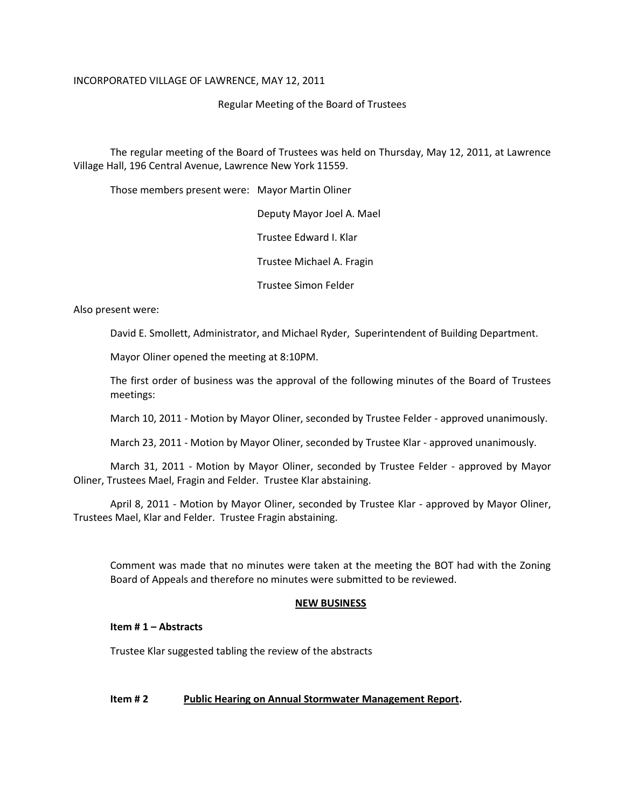### INCORPORATED VILLAGE OF LAWRENCE, MAY 12, 2011

Regular Meeting of the Board of Trustees

The regular meeting of the Board of Trustees was held on Thursday, May 12, 2011, at Lawrence Village Hall, 196 Central Avenue, Lawrence New York 11559.

Those members present were: Mayor Martin Oliner

Deputy Mayor Joel A. Mael

Trustee Edward I. Klar

Trustee Michael A. Fragin

Trustee Simon Felder

Also present were:

David E. Smollett, Administrator, and Michael Ryder, Superintendent of Building Department.

Mayor Oliner opened the meeting at 8:10PM.

The first order of business was the approval of the following minutes of the Board of Trustees meetings:

March 10, 2011 - Motion by Mayor Oliner, seconded by Trustee Felder - approved unanimously.

March 23, 2011 - Motion by Mayor Oliner, seconded by Trustee Klar - approved unanimously.

March 31, 2011 - Motion by Mayor Oliner, seconded by Trustee Felder - approved by Mayor Oliner, Trustees Mael, Fragin and Felder. Trustee Klar abstaining.

April 8, 2011 - Motion by Mayor Oliner, seconded by Trustee Klar - approved by Mayor Oliner, Trustees Mael, Klar and Felder. Trustee Fragin abstaining.

Comment was made that no minutes were taken at the meeting the BOT had with the Zoning Board of Appeals and therefore no minutes were submitted to be reviewed.

#### **NEW BUSINESS**

#### **Item # 1 – Abstracts**

Trustee Klar suggested tabling the review of the abstracts

# **Item # 2 Public Hearing on Annual Stormwater Management Report.**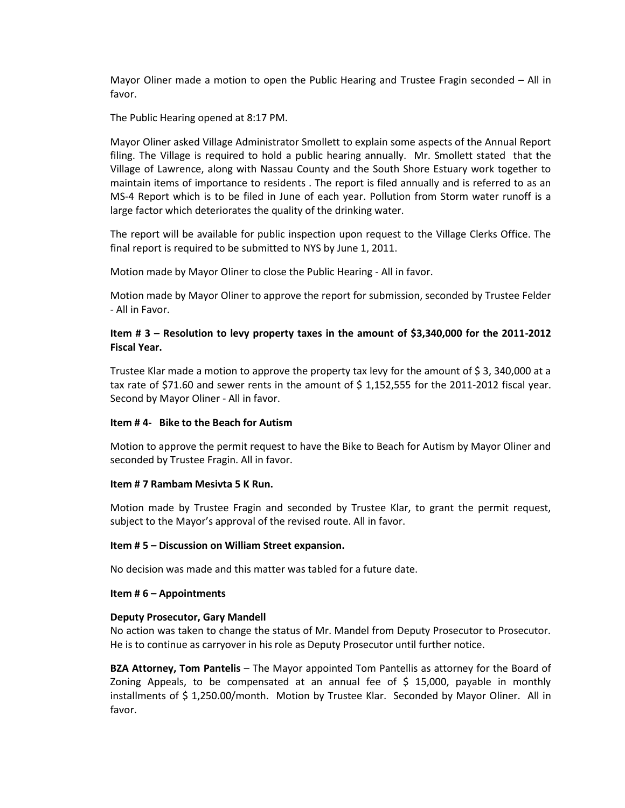Mayor Oliner made a motion to open the Public Hearing and Trustee Fragin seconded – All in favor.

The Public Hearing opened at 8:17 PM.

Mayor Oliner asked Village Administrator Smollett to explain some aspects of the Annual Report filing. The Village is required to hold a public hearing annually. Mr. Smollett stated that the Village of Lawrence, along with Nassau County and the South Shore Estuary work together to maintain items of importance to residents . The report is filed annually and is referred to as an MS-4 Report which is to be filed in June of each year. Pollution from Storm water runoff is a large factor which deteriorates the quality of the drinking water.

The report will be available for public inspection upon request to the Village Clerks Office. The final report is required to be submitted to NYS by June 1, 2011.

Motion made by Mayor Oliner to close the Public Hearing - All in favor.

Motion made by Mayor Oliner to approve the report for submission, seconded by Trustee Felder - All in Favor.

# **Item # 3 – Resolution to levy property taxes in the amount of \$3,340,000 for the 2011-2012 Fiscal Year.**

Trustee Klar made a motion to approve the property tax levy for the amount of \$3,340,000 at a tax rate of \$71.60 and sewer rents in the amount of \$ 1,152,555 for the 2011-2012 fiscal year. Second by Mayor Oliner - All in favor.

#### **Item # 4- Bike to the Beach for Autism**

Motion to approve the permit request to have the Bike to Beach for Autism by Mayor Oliner and seconded by Trustee Fragin. All in favor.

#### **Item # 7 Rambam Mesivta 5 K Run.**

Motion made by Trustee Fragin and seconded by Trustee Klar, to grant the permit request, subject to the Mayor's approval of the revised route. All in favor.

#### **Item # 5 – Discussion on William Street expansion.**

No decision was made and this matter was tabled for a future date.

#### **Item # 6 – Appointments**

#### **Deputy Prosecutor, Gary Mandell**

No action was taken to change the status of Mr. Mandel from Deputy Prosecutor to Prosecutor. He is to continue as carryover in his role as Deputy Prosecutor until further notice.

**BZA Attorney, Tom Pantelis** – The Mayor appointed Tom Pantellis as attorney for the Board of Zoning Appeals, to be compensated at an annual fee of  $\frac{1}{2}$  15,000, payable in monthly installments of \$ 1,250.00/month. Motion by Trustee Klar. Seconded by Mayor Oliner. All in favor.